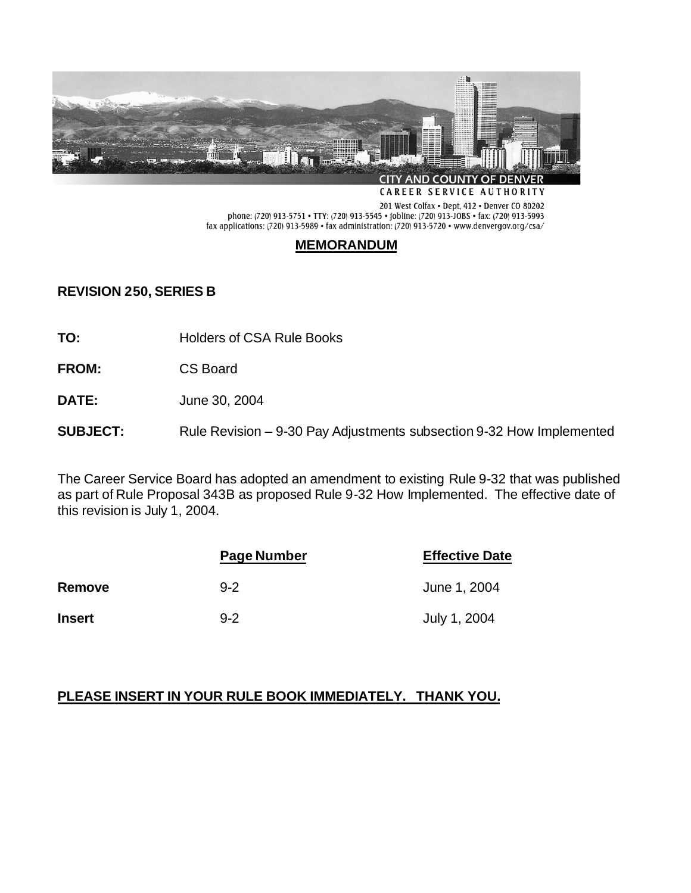

CAREER SERVICE AUTHORITY

201 West Colfax • Dept, 412 • Denver CO 80202<br>phone: (720) 913-5751 • TTY: (720) 913-5545 • jobline: (720) 913-JOBS • fax: (720) 913-5993 fax applications: (720) 913-5989 • fax administration: (720) 913-5720 • www.denvergov.org/csa/

# **MEMORANDUM**

# **REVISION 250, SERIES B**

**TO:** Holders of CSA Rule Books

- **FROM:** CS Board
- **DATE:** June 30, 2004

**SUBJECT:** Rule Revision – 9-30 Pay Adjustments subsection 9-32 How Implemented

The Career Service Board has adopted an amendment to existing Rule 9-32 that was published as part of Rule Proposal 343B as proposed Rule 9-32 How Implemented. The effective date of this revision is July 1, 2004.

|               | Page Number | <b>Effective Date</b> |
|---------------|-------------|-----------------------|
| <b>Remove</b> | $9 - 2$     | June 1, 2004          |
| <b>Insert</b> | $9 - 2$     | July 1, 2004          |

# **PLEASE INSERT IN YOUR RULE BOOK IMMEDIATELY. THANK YOU.**